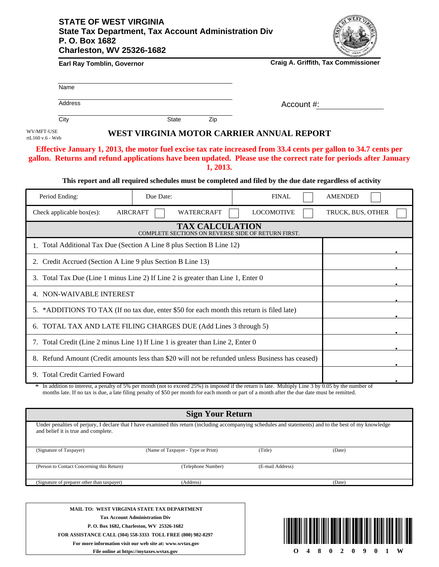## **STATE OF WEST VIRGINIA State Tax Department, Tax Account Administration Div P. O. Box 1682 Charleston, WV 25326-1682**



| Earl Ray Tomblin, Governor                                  |                                                                                                                                                                                                                                                  |                   | <b>Craig A. Griffith, Tax Commissioner</b> |  |
|-------------------------------------------------------------|--------------------------------------------------------------------------------------------------------------------------------------------------------------------------------------------------------------------------------------------------|-------------------|--------------------------------------------|--|
| Name                                                        |                                                                                                                                                                                                                                                  |                   |                                            |  |
| <b>Address</b>                                              |                                                                                                                                                                                                                                                  |                   | Account #:                                 |  |
| City                                                        | <b>State</b><br>Zip                                                                                                                                                                                                                              |                   |                                            |  |
| WV/MFT-USE<br>rtL160 v.6 - Web                              | WEST VIRGINIA MOTOR CARRIER ANNUAL REPORT                                                                                                                                                                                                        |                   |                                            |  |
|                                                             | Effective January 1, 2013, the motor fuel excise tax rate increased from 33.4 cents per gallon to 34.7 cents per<br>gallon. Returns and refund applications have been updated. Please use the correct rate for periods after January<br>1, 2013. |                   |                                            |  |
|                                                             | This report and all required schedules must be completed and filed by the due date regardless of activity                                                                                                                                        |                   |                                            |  |
| Period Ending:                                              | Due Date:                                                                                                                                                                                                                                        | <b>FINAL</b>      | <b>AMENDED</b>                             |  |
| Check applicable box(es):                                   | <b>AIRCRAFT</b><br>WATERCRAFT                                                                                                                                                                                                                    | <b>LOCOMOTIVE</b> | TRUCK, BUS, OTHER                          |  |
|                                                             | <b>TAX CALCULATION</b><br>COMPLETE SECTIONS ON REVERSE SIDE OF RETURN FIRST.                                                                                                                                                                     |                   |                                            |  |
|                                                             | 1. Total Additional Tax Due (Section A Line 8 plus Section B Line 12)                                                                                                                                                                            |                   |                                            |  |
| 2. Credit Accrued (Section A Line 9 plus Section B Line 13) |                                                                                                                                                                                                                                                  |                   |                                            |  |
|                                                             | 3. Total Tax Due (Line 1 minus Line 2) If Line 2 is greater than Line 1, Enter 0                                                                                                                                                                 |                   |                                            |  |
| 4. NON-WAIVABLE INTEREST                                    |                                                                                                                                                                                                                                                  |                   |                                            |  |
|                                                             | 5. *ADDITIONS TO TAX (If no tax due, enter \$50 for each month this return is filed late)                                                                                                                                                        |                   |                                            |  |
|                                                             | 6. TOTAL TAX AND LATE FILING CHARGES DUE (Add Lines 3 through 5)                                                                                                                                                                                 |                   |                                            |  |
|                                                             | 7. Total Credit (Line 2 minus Line 1) If Line 1 is greater than Line 2, Enter 0                                                                                                                                                                  |                   |                                            |  |
|                                                             | 8. Refund Amount (Credit amounts less than \$20 will not be refunded unless Business has ceased)                                                                                                                                                 |                   |                                            |  |
|                                                             |                                                                                                                                                                                                                                                  |                   |                                            |  |

9. Total Credit Carried Foward

In addition to interest, a penalty of 5% per month (not to exceed 25%) is imposed if the return is late. Multiply Line 3 by 0.05 by the number of In addition to interest, a penalty of 5% per month (not to exceed 25%) is imposed if the return is late. Multiply Line 3 by 0.05 by the num months late. If no tax is due, a late filing penalty of \$50 per month for each mon

| <b>Sign Your Return</b>                                                                                                                                                                         |                                    |                  |        |  |  |
|-------------------------------------------------------------------------------------------------------------------------------------------------------------------------------------------------|------------------------------------|------------------|--------|--|--|
| Under penalties of perjury, I declare that I have examined this return (including accompanying schedules and statements) and to the best of my knowledge<br>and belief it is true and complete. |                                    |                  |        |  |  |
| (Signature of Taxpayer)                                                                                                                                                                         | (Name of Taxpayer - Type or Print) | (Title)          | (Date) |  |  |
| (Person to Contact Concerning this Return)                                                                                                                                                      | (Telephone Number)                 | (E-mail Address) |        |  |  |
|                                                                                                                                                                                                 |                                    |                  |        |  |  |
| (Signature of preparer other than taxpayer)                                                                                                                                                     | (Address)                          |                  | (Date) |  |  |
|                                                                                                                                                                                                 |                                    |                  |        |  |  |
|                                                                                                                                                                                                 |                                    |                  |        |  |  |

**MAIL TO: WEST VIRGINIA STATE TAX DEPARTMENT Tax Account Administration Div P. O. Box 1682, Charleston, WV 25326-1682 FOR ASSISTANCE CALL (304) 558-3333 TOLL FREE (800) 982-8297 For more information visit our web site at: www.wvtax.gov**



**.**

**File online at https://mytaxes.wvtax.gov**